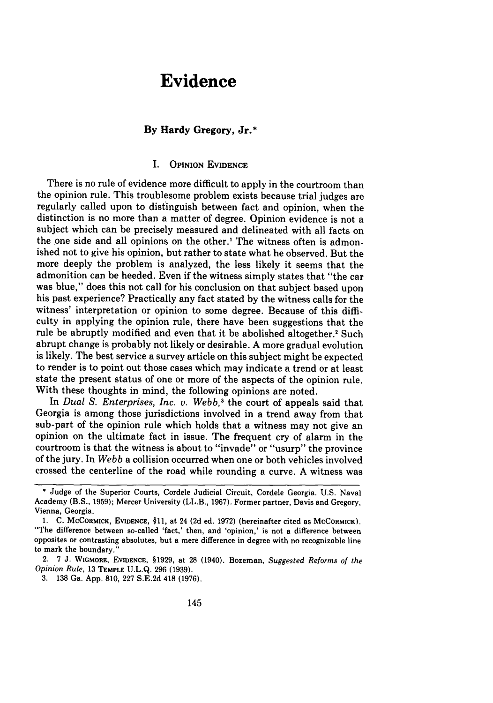# **Evidence**

# **By Hardy Gregory, Jr.\***

# I. **OPINION EVIDENCE**

There is no rule of evidence more difficult to apply in the courtroom than the opinion rule. This troublesome problem exists because trial judges are regularly called upon to distinguish between fact and opinion, when the distinction is no more than a matter of degree. Opinion evidence is not a subject which can be precisely measured and delineated with all facts on the **one** side and all opinions on the other.' The witness often is admonished not to give his opinion, but rather to state what he observed. But the more deeply the problem is analyzed, the less likely it seems that the admonition can be heeded. Even if the witness simply states that "the car was blue," does this not call for his conclusion on that subject based upon his past experience? Practically any fact stated **by** the witness calls for the witness' interpretation or opinion to some degree. Because of this difficulty in applying the opinion rule, there have been suggestions that the rule be abruptly modified and even that it be abolished altogether.<sup>2</sup> Such abrupt change is probably not likely or desirable. **A** more gradual evolution is likely. The best service a survey article on this subject might be expected to render is to point out those cases which may indicate a trend or at least state the present status of one or more of the aspects of the opinion rule. With these thoughts in mind, the following opinions are noted.

In *Dual S. Enterprises, Inc. v. Webb*,<sup>3</sup> the court of appeals said that Georgia is among those jurisdictions involved in a trend away from that sub-part of the opinion rule which holds that a witness may not give an opinion on the ultimate fact in issue. The frequent cry of alarm in the courtroom is that the witness is about to "invade" or "usurp" the province of the jury. In *Webb* a collision occurred when one or both vehicles involved crossed the centerline of the road while rounding a curve. **A** witness was

2. **7 J. WIGMORE, EVIDENCE,** §1929, at **28** (1940). Bozeman, *Suggested Reforms of the Opinion Rule,* **13 TEMPLE U.L.Q. 296 (1939).**

**<sup>\*</sup>** Judge of the Superior Courts, Cordele Judicial Circuit, Cordele Georgia. **U.S.** Naval Academy (B.S., **1959);** Mercer University (LL.B., **1967).** Former partner, Davis and Gregory, Vienna, Georgia.

<sup>1.</sup> C. **MCCORMICK, EVIDENCE, §11,** at 24 **(2d** ed. **1972)** (hereinafter cited as **MCCORMICK).** "The difference between so-called 'fact,' then, and 'opinion,' is not a difference between opposites or contrasting absolutes, but a mere difference in degree with no recognizable line to mark the boundary."

**<sup>3. 138</sup>** Ga. **App. 810, 227 S.E.2d** 418 **(1976).**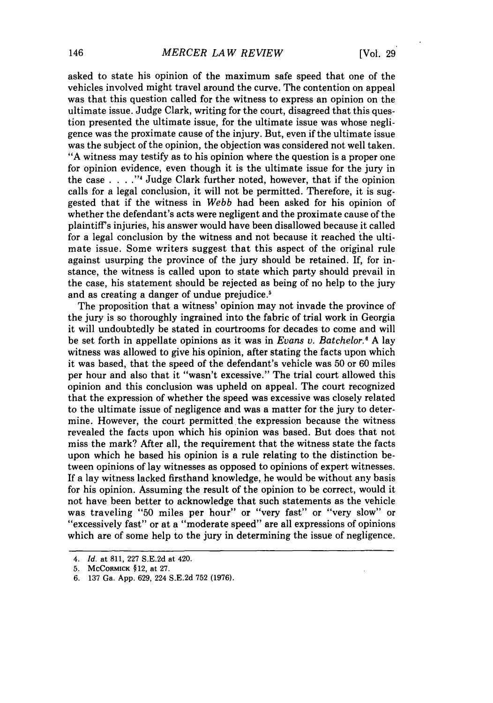asked to state his opinion of the maximum safe speed that one of the vehicles involved might travel around the curve. The contention on appeal was that this question called for the witness to express an opinion on the ultimate issue. Judge Clark, writing for the court, disagreed that this question presented the ultimate issue, for the ultimate issue was whose negligence was the proximate cause of the injury. But, even if the ultimate issue was the subject of the opinion, the objection was considered not well taken. "A witness may testify as to his opinion where the question is a proper one for opinion evidence, even though it is the ultimate issue for the jury in the case . **. . ."4** Judge Clark further noted, however, that if the opinion calls for a legal conclusion, it will not be permitted. Therefore, it is suggested that if the witness in *Webb* had been asked for his opinion of whether the defendant's acts were negligent and the proximate cause of the plaintiff's injuries, his answer would have been disallowed because it called for a legal conclusion by the witness and not because it reached the ultimate issue. Some writers suggest that this aspect of the original rule against usurping the province of the jury should be retained. If, for instance, the witness is called upon to state which party should prevail in the case, his statement should be rejected as being of no help to the jury and as creating a danger of undue prejudice.'

The proposition that a witness' opinion may not invade the province of the jury is so thoroughly ingrained into the fabric of trial work in Georgia it will undoubtedly be stated in courtrooms for decades to come and will be set forth in appellate opinions as it was in *Evans v. Batchelor.'* A lay witness was allowed to give his opinion, after stating the facts upon which it was based, that the speed of the defendant's vehicle was 50 or 60 miles per hour and also that it "wasn't excessive." The trial court allowed this opinion and this conclusion was upheld on appeal. The court recognized that the expression of whether the speed was excessive was closely related to the ultimate issue of negligence and was a matter for the jury to determine. However, the court permitted the expression because the witness revealed the facts upon which his opinion was based. But does that not miss the mark? After all, the requirement that the witness state the facts upon which he based his opinion is a rule relating to the distinction between opinions of lay witnesses as opposed to opinions of expert witnesses. If a lay witness lacked firsthand knowledge, he would be without any basis for his opinion. Assuming the result of the opinion to be correct, would it not have been better to acknowledge that such statements as the vehicle was traveling "50 miles per hour" or "very fast" or "very slow" or "excessively fast" or at a "moderate speed" are all expressions of opinions which are of some help to the jury in determining the issue of negligence.

*<sup>4.</sup> Id.* at 811, 227 S.E.2d at 420.

<sup>5.</sup> McCoRMICK §12, at 27.

<sup>6. 137</sup> Ga. App. 629, 224 S.E.2d 752 (1976).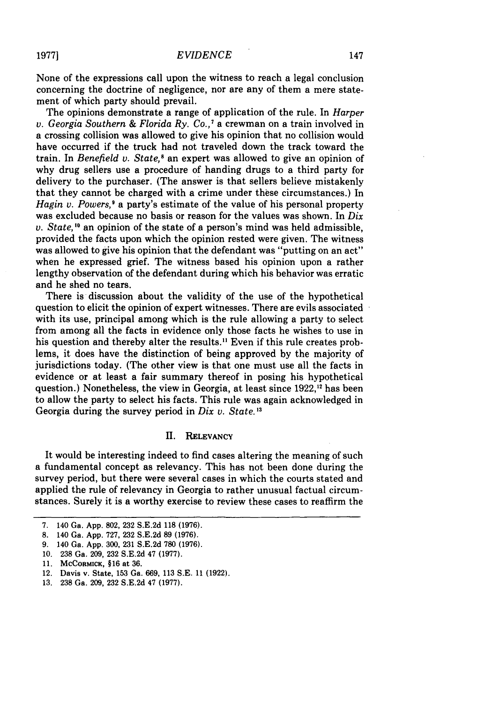None of the expressions call upon the witness to reach a legal conclusion concerning the doctrine of negligence, nor are any of them a mere statement of which party should prevail.

The opinions demonstrate a range of application of the rule. In *Harper v. Georgia Southern & Florida Ry. Co.,'* a crewman on a train involved in a crossing collision was allowed to give his opinion that no collision would have occurred if the truck had not traveled down the track toward the train. In *Benefield v. State,8* an expert was allowed to give an opinion of why drug sellers use a procedure of handing drugs to a third party for delivery to the purchaser. (The answer is that sellers believe mistakenly that they cannot be charged with a crime under these circumstances.) In *Hagin v. Powers*,<sup>9</sup> a party's estimate of the value of his personal property was excluded because no basis or reason for the values was shown. In *Dix v. State,'"* an opinion of the state of a person's mind was held admissible, provided the facts upon which the opinion rested were given. The witness was allowed to give his opinion that the defendant was "putting on an act" when he expressed grief. The witness based his opinion upon a rather lengthy observation of the defendant during which his behavior was erratic and he shed no tears.

There is discussion about the validity of the use of the hypothetical question to elicit the opinion of expert witnesses. There are evils associated with its use, principal among which is the rule allowing a party to select from among all the facts in evidence only those facts he wishes to use in his question and thereby alter the results." Even if this rule creates problems, it does have the distinction of being approved by the majority of jurisdictions today. (The other view is that one must use all the facts in evidence or at least a fair summary thereof in posing his hypothetical question.) Nonetheless, the view in Georgia, at least since 1922,<sup>12</sup> has been to allow the party to select his facts. This rule was again acknowledged in Georgia during the survey period in *Dix v. State*.<sup>13</sup>

#### **II. RELEVANCY**

It would be interesting indeed to find cases altering the meaning of such a fundamental concept as relevancy. This has not been done during the survey period, but there were several cases in which the courts stated and applied the rule of relevancy in Georgia to rather unusual factual circumstances. Surely it is a worthy exercise to review these cases to reaffirm the

**<sup>7.</sup>** 140 Ga. **App. 802, 232 S.E.2d 118 (1976).**

**<sup>8.</sup>** 140 Ga. **App. 727, 232 S.E.2d 89 (1976).**

**<sup>9.</sup>** 140 Ga. **App. 300, 231 S.E.2d 780 (1976).**

**<sup>10. 238</sup>** Ga. **209, 232 S.E.2d** 47 **(1977).**

**<sup>11.</sup> MCCORMICK, §16** at **36.**

<sup>12.</sup> Davis v. State, **153** Ga. 669, **113 S.E. 11 (1922).**

**<sup>13. 238</sup>** Ga. **209, 232 S.E.2d** 47 **(1977).**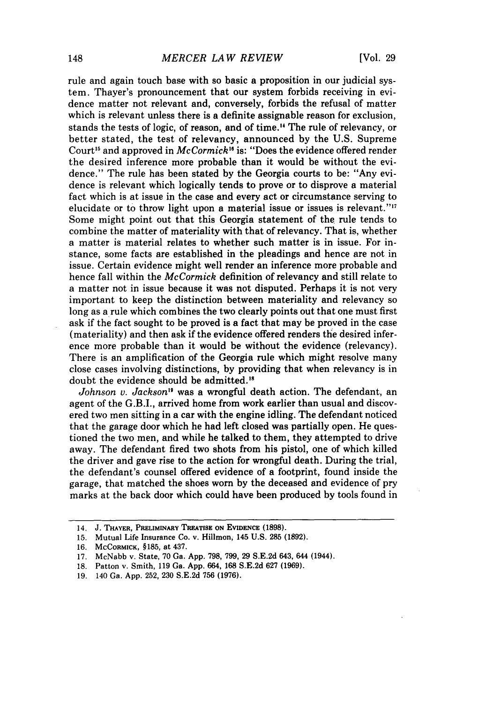rule and again touch base with so basic a proposition in our judicial system. Thayer's pronouncement that our system forbids receiving in evidence matter not relevant and, conversely, forbids the refusal of matter which is relevant unless there is a definite assignable reason for exclusion, stands the tests of logic, of reason, and of time." The rule of relevancy, or better stated, the test of relevancy, announced by the U.S. Supreme Court<sup>15</sup> and approved in *McCormick*<sup>16</sup> is: "Does the evidence offered render the desired inference more probable than it would be without the evidence." The rule has been stated by the Georgia courts to be: "Any evidence is relevant which logically tends to prove or to disprove a material fact which is at issue in the case and every act or circumstance serving to elucidate or to throw light upon a material issue or issues is relevant." $17$ Some might point out that this Georgia statement of the rule tends to combine the matter of materiality with that of relevancy. That is, whether a matter is material relates to whether such matter is in issue. For instance, some facts are established in the pleadings and hence are not in issue. Certain evidence might well render an inference more probable and hence fall within the *McCormick* definition of relevancy and still relate to a matter not in issue because it was not disputed. Perhaps it is not very important to keep the distinction between materiality and relevancy so long as a rule which combines the two clearly points out that one must first ask if the fact sought to be proved is a fact that may be proved in the case (materiality) and then ask if the evidence offered renders the desired inference more probable than it would be without the evidence (relevancy). There is an amplification of the Georgia rule which might resolve many close cases involving distinctions, by providing that when relevancy is in doubt the evidence should be admitted.'8

*Johnson v. Jackson"* was a wrongful death action. The defendant, an agent of the G.B.I., arrived home from work earlier than usual and discovered two men sitting in a car with the engine idling. The defendant noticed that the garage door which he had left closed was partially open. He questioned the two men, and while he talked to them, they attempted to drive away. The defendant fired two shots from his pistol, one of which killed the driver and gave rise to the action for wrongful death. During the trial, the defendant's counsel offered evidence of a footprint, found inside the garage, that matched the shoes worn by the deceased and evidence of pry marks at the back door which could have been produced by tools found in

<sup>14.</sup> **J. THAYER, PRELIMINARY** TREATISE **ON EVIDENCE (1898).**

**<sup>15.</sup>** Mutual Life Insurance **Co.** v. **Hillmon,** 145 **U.S. 285 (1892).**

**<sup>16.</sup> MCCoRMICK,** § **185,** at 437.

**<sup>17.</sup>** McNabb v. State, **70** Ga. **App. 798, 799, 29 S.E.2d** 643, 644 (1944).

**<sup>18.</sup>** Patton v. Smith, **119** Ga. **App.** 664, **168 S.E.2d 627 (1969).**

**<sup>19.</sup>** 140 Ga. **App. 252, 230 S.E.2d 756 (1976).**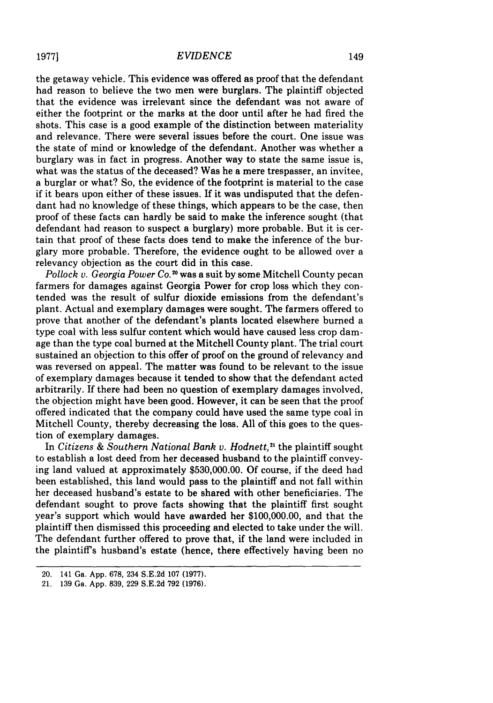the getaway vehicle. This evidence was offered as proof that the defendant had reason to believe the two men were burglars. The plaintiff objected that the evidence was irrelevant since the defendant was not aware of either the footprint or the marks at the door until after he had fired the shots. This case is a good example of the distinction between materiality and relevance. There were several issues before the court. One issue was the state of mind or knowledge of the defendant. Another was whether a burglary was in fact in progress. Another way to state the same issue is, what was the status of the deceased? Was he a mere trespasser, an invitee, a burglar or what? So, the evidence of the footprint is material to the case if it bears upon either of these issues. If it was undisputed that the defendant had no knowledge of these things, which appears to be the case, then proof of these facts can hardly be said to make the inference sought (that defendant had reason to suspect a burglary) more probable. But it is certain that proof of these facts does tend to make the inference of the burglary more probable. Therefore, the evidence ought to be allowed over a relevancy objection as the court did in this case.

*Pollock v. Georgia Power Co.*<sup>20</sup> was a suit by some Mitchell County pecan farmers for damages against Georgia Power for crop loss which they contended was the result of sulfur dioxide emissions from the defendant's plant. Actual and exemplary damages were sought. The farmers offered to prove that another of the defendant's plants located elsewhere burned a type coal with less sulfur content which would have caused less crop damage than the type coal burned at the Mitchell County plant. The trial court sustained an objection to this offer of proof on the ground of relevancy and was reversed on appeal. The matter was found to be relevant to the issue of exemplary damages because it tended to show that the defendant acted arbitrarily. If there had been no question of exemplary damages involved, the objection might have been good. However, it can be seen that the proof offered indicated that the company could have used the same type coal in Mitchell County, thereby decreasing the loss. All of this goes to the question of exemplary damages.

In *Citizens & Southern National Bank v. Hodnett*,<sup>21</sup> the plaintiff sought to establish a lost deed from her deceased husband to the plaintiff conveying land valued at approximately \$530,000.00. Of course, if the deed had been established, this land would pass to the plaintiff and not fall within her deceased husband's estate to be shared with other beneficiaries. The defendant sought to prove facts showing that the plaintiff first sought year's support which would have awarded her \$100,000.00, and that the plaintiff then dismissed this proceeding and elected to take under the will. The defendant further offered to prove that, if the land were included in the plaintiff's husband's estate (hence, there effectively having been no

**19771**

<sup>20.</sup> 141 Ga. App. 678, 234 S.E.2d 107 (1977).

<sup>21. 139</sup> Ga. App. 839, 229 S.E.2d 792 (1976).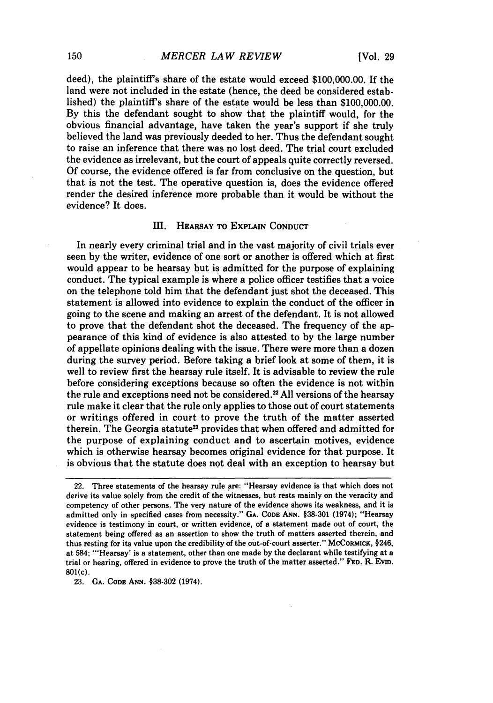deed), the plaintiff's share of the estate would exceed **\$100,000.00.** If the land were not included in the estate (hence, the deed be considered established) the plaintiff's share of the estate would be less than \$100,000.00. By this the defendant sought to show that the plaintiff would, for the obvious financial advantage, have taken the year's support if she truly believed the land was previously deeded to her. Thus the defendant sought to raise an inference that there was no lost deed. The trial court excluded the evidence as irrelevant, but the court of appeals quite correctly reversed. Of course, the evidence offered is far from conclusive on the question, but that is not the test. The operative question is, does the evidence offered render the desired inference more probable than it would be without the evidence? It does.

## **II. HEARSAY** TO **ExPLAIN CONDUCT**

In nearly every criminal trial and in the vast majority of civil trials ever seen **by** the writer, evidence of one sort or another is offered which at first would appear to be hearsay but is admitted for the purpose of explaining conduct. The typical example is where a police officer testifies that a voice on the telephone told him that the defendant just shot the deceased. This statement is allowed into evidence to explain the conduct of the officer in going to the scene and making an arrest of the defendant. It is not allowed to prove that the defendant shot the deceased. The frequency of the appearance of this kind of evidence is also attested to **by** the large number of appellate opinions dealing with the issue. There were more than a dozen during the survey period. Before taking a brief look at some **of** them, it is well to review first the hearsay rule itself. It is advisable to review the rule before considering exceptions because so often the evidence is not within the rule and exceptions need not be considered.<sup>22</sup> All versions of the hearsay rule make it clear that the rule only applies to those out of court statements or writings offered in court to prove the truth of the matter asserted therein. The Georgia statute<sup>23</sup> provides that when offered and admitted for the purpose of explaining conduct and to ascertain motives, evidence which is otherwise hearsay becomes original evidence for that purpose. It is obvious that the statute does not deal with an exception to hearsay but

**23. GA. CODE ANN. §38-302** (1974).

<sup>22.</sup> Three statements of the hearsay rule are: "Hearsay evidence is that which does not derive its value solely from the credit of the witnesses, but rests mainly on the veracity and competency of other persons. The very nature of the evidence shows its weakness, and it is admitted only in specified cases from necessity." **GA. CODE ANN. §38-301** (1974); "Hearsay evidence is testimony in court, or written evidence, of a statement made out of court, the statement being offered as an assertion to show the truth of matters asserted therein, and thus resting for its value upon the credibility of the out-of-court asserter." McCoRMICK, §246, at 584; 'Hearsay' is a statement, other than one made **by** the declarant while testifying at a trial or hearing, offered in evidence to prove the truth of the matter asserted." **FED.** R. EviD. **801(c).**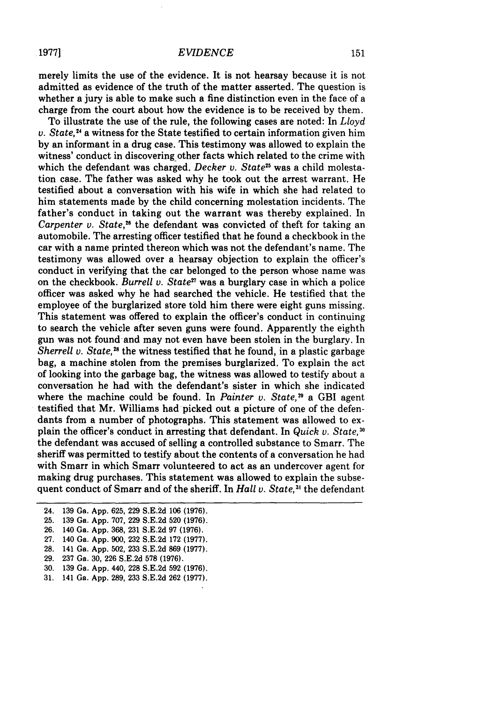merely limits the use of the evidence. It is not hearsay because it is not admitted as evidence of the truth of the matter asserted. The question is whether a jury is able to make such a fine distinction even in the face of a charge from the court about how the evidence is to be received by them.

To illustrate the use of the rule, the following cases are noted: In *Lloyd* v. *State, <sup>4</sup>*a witness for the State testified to certain information given him by an informant in a drug case. This testimony was allowed to explain the witness' conduct in discovering other facts which related to the crime with which the defendant was charged. *Decker v. State<sup>25</sup>* was a child molestation case. The father was asked why he took out the arrest warrant. He testified about a conversation with his wife in which she had related to him statements made by the child concerning molestation incidents. The father's conduct in taking out the warrant was thereby explained. In *Carpenter v. State*,<sup>26</sup> the defendant was convicted of theft for taking an automobile. The arresting officer testified that he found a checkbook in the car with a name printed thereon which was not the defendant's name. The testimony was allowed over a hearsay objection to explain the officer's conduct in verifying that the car belonged to the person whose name was on the checkbook. *Burrell v. State27* was a burglary case in which a police officer was asked why he had searched the vehicle. He testified that the employee of the burglarized store told him there were eight guns missing. This statement was offered to explain the officer's conduct in continuing to search the vehicle after seven guns were found. Apparently the eighth gun was not found-and may not even have been stolen in the burglary. In *Sherrell v. State*,<sup>28</sup> the witness testified that he found, in a plastic garbage bag, a machine stolen from the premises burglarized. To explain the act of looking into the garbage bag, the witness was allowed to testify about a conversation he had with the defendant's sister in which she indicated where the machine could be found. In *Painter v. State*,<sup>29</sup> a GBI agent testified that Mr. Williams had picked out a picture of one of the defendants from a number of photographs. This statement was allowed to explain the officer's conduct in arresting that defendant. In *Quick v. State*,<sup>30</sup> the defendant was accused of selling a controlled substance to Smarr. The sheriff was permitted to testify about the contents of a conversation he had with Smarr in which Smarr volunteered to act as an undercover agent for making drug purchases. This statement was allowed to explain the subsequent conduct of Smarr and of the sheriff. In *Hall v. State*,<sup>31</sup> the defendant

- 24. 139 Ga. App. 625, 229 S.E.2d 106 (1976). 25. 139 Ga. App. 707, 229 S.E.2d 520 (1976). 26. 140 Ga. App. 368, 231 S.E.2d 97 (1976). 27. 140 Ga. App. 900, 232 S.E.2d 172 (1977). 28. 141 Ga. App. 502, 233 S.E.2d 869 (1977). 29. 237 Ga. 30, 226 S.E.2d **578** (1976).
- 30. 139 Ga. App. 440, 228 S.E.2d 592 (1976).
- 31. 141 Ga. App. 289, 233 S.E.2d 262 (1977).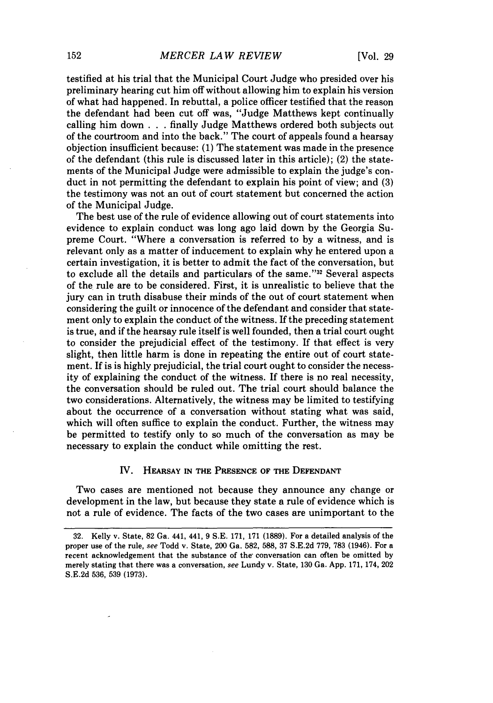testified at his trial that the Municipal Court Judge who presided over his preliminary hearing cut him off without allowing him to explain his version of what had happened. In rebuttal, a police officer testified that the reason the defendant had been cut off was, "Judge Matthews kept continually calling him down . . .finally Judge Matthews ordered both subjects out of the courtroom and into the back." The court of appeals found a hearsay objection insufficient because: (1) The statement was made in the presence of the defendant (this rule is discussed later in this article); (2) the statements of the Municipal Judge were admissible to explain the judge's conduct in not permitting the defendant to explain his point of view; and (3) the testimony was not an out of court statement but concerned the action of the Municipal Judge.

The best use of the rule of evidence allowing out of court statements into evidence to explain conduct was long ago laid down by the Georgia Supreme Court. "Where a conversation is referred to by a witness, and is relevant only as a matter of inducement to explain why he entered upon a certain investigation, it is better to admit the fact of the conversation, but to exclude all the details and particulars of the same."32 Several aspects of the rule are to be considered. First, it is unrealistic to believe that the jury can in truth disabuse their minds of the out of court statement when considering the guilt or innocence of the defendant and consider that statement only to explain the conduct of the witness. If the preceding statement is true, and if the hearsay rule itself is well founded, then a trial court ought to consider the prejudicial effect of the testimony. If that effect is very slight, then little harm is done in repeating the entire out of court statement. If is is highly prejudicial, the trial court ought to consider the necessity of explaining the conduct of the witness. If there is no real necessity, the conversation should be ruled out. The trial court should balance the two considerations. Alternatively, the witness may be limited to testifying about the occurrence of a conversation without stating what was said, which will often suffice to explain the conduct. Further, the witness may be permitted to testify only to so much of the conversation as may be necessary to explain the conduct while omitting the rest.

#### IV. HEARSAY **IN THE PRESENCE OF THE DEFENDANT**

Two cases are mentioned not because they announce any change or development in the law, but because they state a rule of evidence which is not a rule of evidence. The facts of the two cases are unimportant to the

**<sup>32.</sup>** Kelly v. State, **82** Ga. 441, 441, **9 S.E. 171, 171 (1889).** For a detailed analysis of the proper use of the rule, *see* Todd v. State, 200 Ga. **582, 588, 37 S.E.2d 779, 783** (1946). For a recent acknowledgement that the substance of the conversation can often be omitted **by** merely stating that there was a conversation, *see* Lundy v. State, **130** Ga. **App. 171,** 174, 202 **S.E.2d 536, 539 (1973).**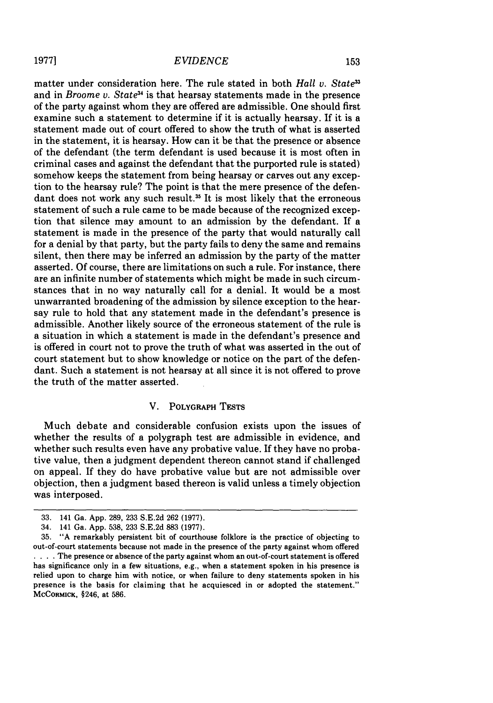**19771**

#### *EVIDENCE*

matter under consideration here. The rule stated in both *Hall v. State3* and in *Broome v. State3 <sup>1</sup>*is that hearsay statements made in the presence of the party against whom they are offered are admissible. One should first examine such a statement to determine if it is actually hearsay. **If** it is a statement made out of court offered to show the truth of what is asserted in the statement, it is hearsay. How can it be that the presence or absence of the defendant (the term defendant is used because it is most often in criminal cases and against the defendant that the purported rule is stated) somehow keeps the statement from being hearsay or carves out any exception to the hearsay rule? The point is that the mere presence of the defendant does not work any such result.<sup>35</sup> It is most likely that the erroneous statement of such a rule came to be made because of the recognized exception that silence may amount to an admission by the defendant. If a statement is made in the presence of the party that would naturally call for a denial by that party, but the party fails to deny the same and remains silent, then there may be inferred an admission by the party of the matter asserted. Of course, there are limitations on such a rule. For instance, there are an infinite number of statements which might be made in such circumstances that in no way naturally call for a denial. It would be a most unwarranted broadening of the admission by silence exception to the hearsay rule to hold that any statement made in the defendant's presence is admissible. Another likely source of the erroneous statement of the rule is a situation in which a statement is made in the defendant's presence and is offered in court not to prove the truth of what was asserted in the out of court statement but to show knowledge or notice on the part of the defendant. Such a statement is not hearsay at all since it is not offered to prove the truth of the matter asserted.

## V. POLYGRAPH **TESTS**

Much debate and considerable confusion exists upon the issues of whether the results of a polygraph test are admissible in evidence, and whether such results even have any probative value. If they have no probative value, then a judgment dependent thereon cannot stand if challenged on appeal. If they do have probative value but are not admissible over objection, then a judgment based thereon is valid unless a timely objection was interposed.

**<sup>33.</sup>** 141 Ga. App. 289, **233** S.E.2d **262 (1977).**

<sup>34. 141</sup> Ga. App. 538, 233 S.E.2d 883 (1977).

<sup>35. &</sup>quot;A remarkably persistent bit of courthouse folklore is the practice of objecting to out-of-court statements because not made in the presence of the party against whom offered **S. ..** The presence or absence of the party against whom an out-of-court statement is offered has significance only in a few situations, e.g., when a statement spoken in his presence is relied upon to charge him with notice, or when failure to deny statements spoken in his presence is the basis for claiming that he acquiesced in or adopted the statement." MCCORMICK, §246, at **586.**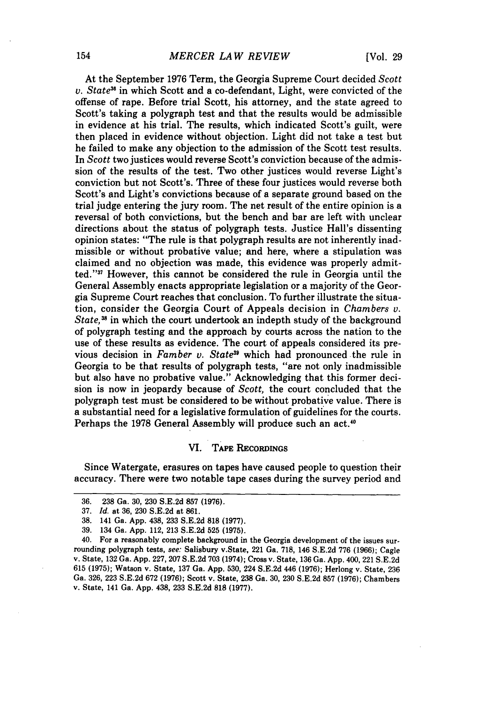At the September **1976** Term, the Georgia Supreme Court decided *Scott v. State3* in which Scott and a co-defendant, Light, were convicted of the offense of rape. Before trial Scott, his attorney, and the state agreed to Scott's taking a polygraph test and that the results would be admissible in evidence at his trial. The results, which indicated Scott's guilt, were then placed in evidence without objection. Light did not take a test but he failed to make any objection to the admission of the Scott test results. In *Scott* two justices would reverse Scott's conviction because of the admission of the results of the test. Two other justices would reverse Light's conviction but not Scott's. Three of these four justices would reverse both Scott's and Light's convictions because of a separate ground based on the trial judge entering the jury room. The net result of the entire opinion is a reversal of both convictions, but the bench and bar are left with unclear directions about the status of polygraph tests. Justice Hall's dissenting opinion states: "The rule is that polygraph results are not inherently inadmissible or without probative value; and here, where a stipulation was claimed and no objection was made, this evidence was properly admitted.""7 However, this cannot be considered the rule in Georgia until the General Assembly enacts appropriate legislation or a majority of the Georgia Supreme Court reaches that conclusion. To further illustrate the situation, consider the Georgia Court of Appeals decision in *Chambers v. State,3* in which the court undertook an indepth study of the background of polygraph testing and the approach by courts across the nation to the use of these results as evidence. The court of appeals considered its previous decision in *Famber v. State*<sup>39</sup> which had pronounced the rule in Georgia to be that results of polygraph tests, "are not only inadmissible but also have no probative value." Acknowledging that this former decision is now in jeopardy because of *Scott,* the court concluded that the polygraph test must be considered to be without probative value. There is a substantial need for a legislative formulation of guidelines for the courts. Perhaps the 1978 General Assembly will produce such an act.<sup>40</sup>

#### VI. TAPE RECORDINGS

Since Watergate, erasures on tapes have caused people to question their accuracy. There were two notable tape cases during the survey period and

<sup>36. 238</sup> Ga. 30, 230 S.E.2d **857** (1976).

<sup>37.</sup> *Id.* at 36, 230 S.E.2d at 861.

<sup>38. 141</sup> Ga. App. 438, 233 S.E.2d **818** (1977).

<sup>39. 134</sup> Ga. App. 112, 213 S.E.2d 525 (1975).

<sup>40.</sup> For a reasonably complete background in the Georgia development of the issues surrounding polygraph tests, see: Salisbury v.State, 221 Ga. 718, 146 S.E.2d 776 (1966); Cagle v. State, 132 Ga. App. 227, 207 S.E.2d 703 (1974); Cross v. State, 136 Ga. App. 400, 221 S.E.2d 615 (1975); Watson v. State, 137 Ga. App. 530, 224 S.E.2d 446 (1976); Herlong v. State, 236 Ga. 326, 223 S.E.2d 672 (1976); Scott v. State, **238** Ga. 30, 230 S.E.2d 857 (1976); Chambers v. State, 141 Ga. App. 438, 233 S.E.2d 818 (1977).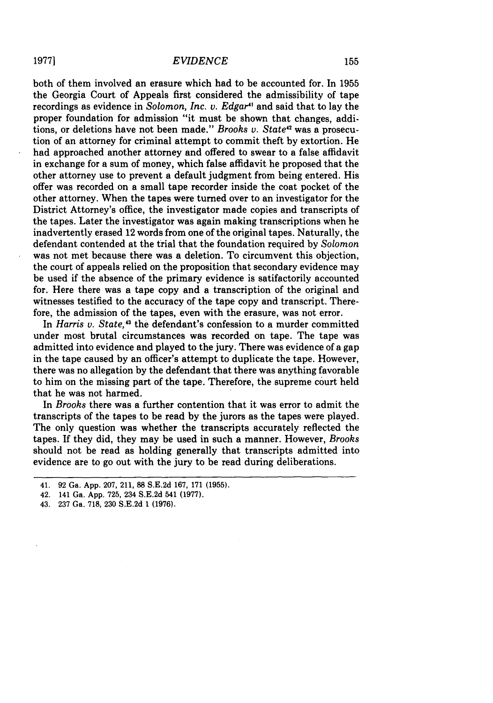## *EVIDENCE*

both of them involved an erasure which had to be accounted for. In 1955 the Georgia Court of Appeals first considered the admissibility of tape recordings as evidence in *Solomon, Inc. v. Edgar"* and said that to lay the proper foundation for admission "it must be shown that changes, additions, or deletions have not been made." *Brooks v. State'"* was a prosecution of an attorney for criminal attempt to commit theft by extortion. He had approached another attorney and offered to swear to a false affidavit in exchange for a sum of money, which false affidavit he proposed that the other attorney use to prevent a default judgment from being entered. His offer was recorded on a small tape recorder inside the coat pocket of the other attorney. When the tapes were turned over to an investigator for the District Attorney's office, the investigator made copies and transcripts of the tapes. Later the investigator was again making transcriptions when he inadvertently erased 12 words from one of the original tapes. Naturally, the defendant contended at the trial that the foundation required by *Solomon* was not met because there was a deletion. To circumvent this objection, the court of appeals relied on the proposition that secondary evidence may be used if the absence of the primary evidence is satifactorily accounted for. Here there was a tape copy and a transcription of the original and witnesses testified to the accuracy of the tape copy and transcript. Therefore, the admission of the tapes, even with the erasure, was not error.

In *Harris v. State,'3* the defendant's confession to a murder committed under most brutal circumstances was recorded on tape. The tape was admitted into evidence and played to the jury. There was evidence of a gap in the tape caused by an officer's attempt to duplicate the tape. However, there was no allegation by the defendant that there was anything favorable to him on the missing part of the tape. Therefore, the supreme court held that he was not harmed.

In Brooks there was a further contention that it was error to admit the transcripts of the tapes to be read by the jurors as the tapes were played. The only question was whether the transcripts accurately reflected the tapes. If they did, they may be used in such a manner. However, *Brooks* should not be read as holding generally that transcripts admitted into evidence are to go out with the jury to be read during deliberations.

43. 237 Ga. 718, 230 S.E.2d 1 **(1976).**

<sup>41. 92</sup> Ga. App. 207, 211, 88 S.E.2d 167, 171 (1955).

<sup>42. 141</sup> Ga. App. 725, 234 S.E.2d 541 (1977).